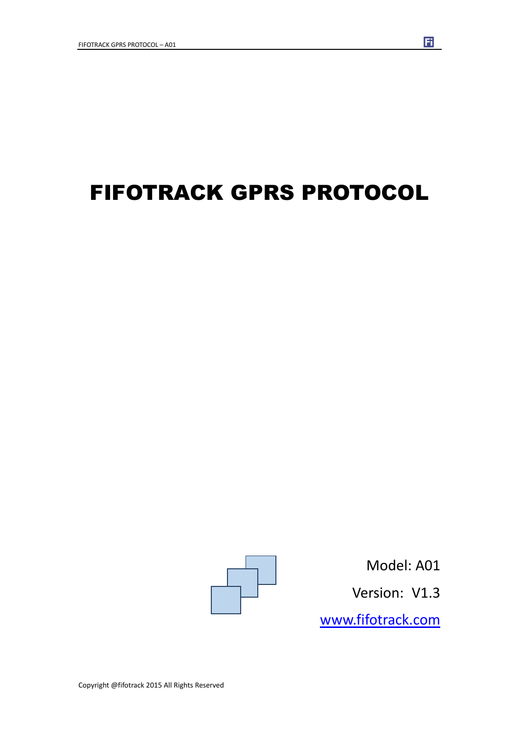# FIFOTRACK GPRS PROTOCOL



Model: A01 Version: V1.3 www.fifotrack.com

Copyright @fifotrack 2015 All Rights Reserved

団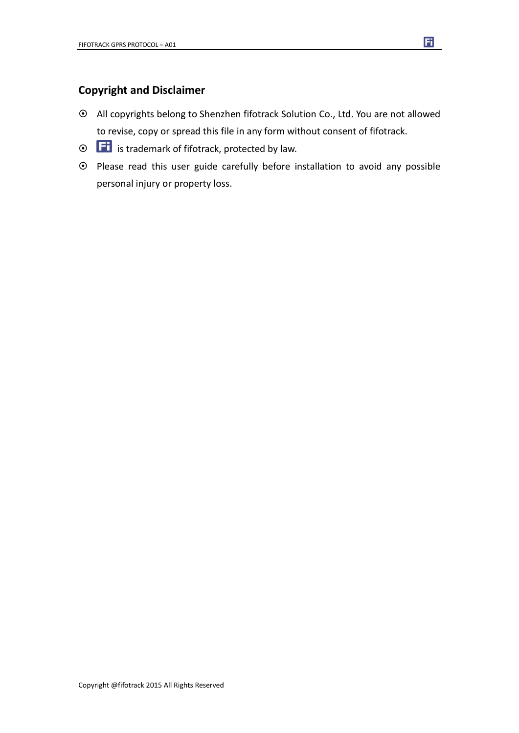#### **Copyright and Disclaimer**

 All copyrights belong to Shenzhen fifotrack Solution Co., Ltd. You are not allowed to revise, copy or spread this file in any form without consent of fifotrack.

- $\odot$   $\Box$  is trademark of fifotrack, protected by law.
- Please read this user guide carefully before installation to avoid any possible personal injury or property loss.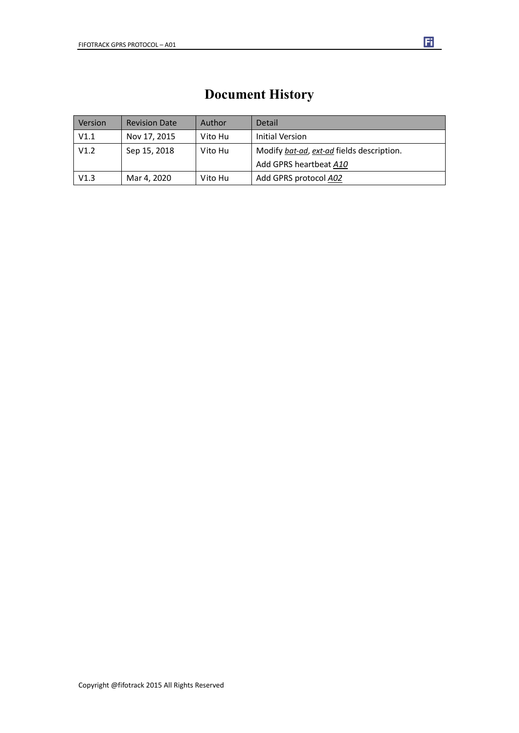## **Document History**

| Version | <b>Revision Date</b> | Author  | Detail                                    |  |
|---------|----------------------|---------|-------------------------------------------|--|
| V1.1    | Nov 17, 2015         | Vito Hu | Initial Version                           |  |
| V1.2    | Sep 15, 2018         | Vito Hu | Modify bat-ad, ext-ad fields description. |  |
|         |                      |         | Add GPRS heartbeat A10                    |  |
| V1.3    | Mar 4, 2020          | Vito Hu | Add GPRS protocol A02                     |  |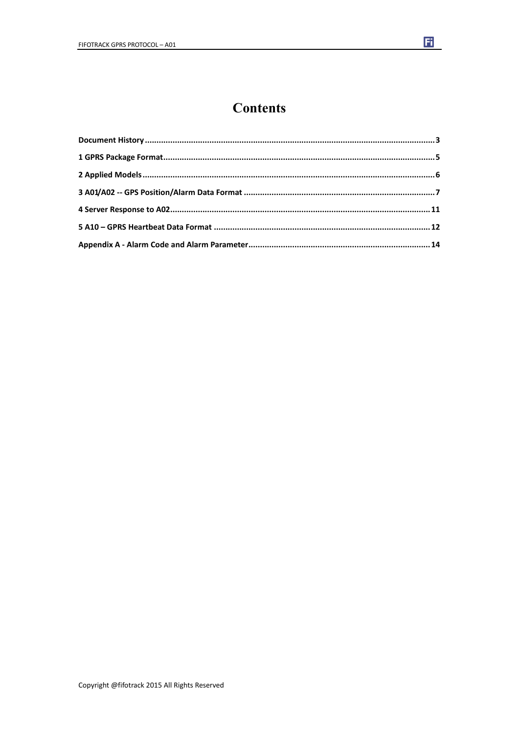

#### **Contents**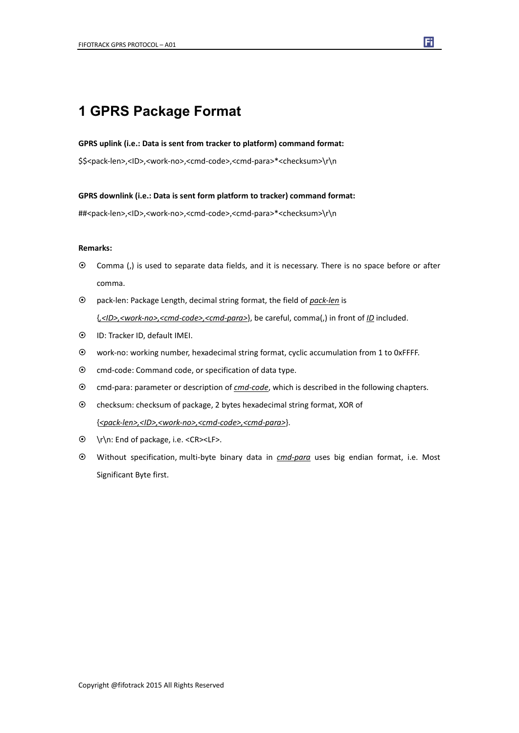### **1 GPRS Package Format**

#### **GPRS uplink (i.e.: Data is sent from tracker to platform) command format:**

\$\$<pack-len>,<ID>,<work-no>,<cmd-code>,<cmd-para>\*<checksum>\r\n

**GPRS downlink (i.e.: Data is sent form platform to tracker) command format:**

##<pack-len>,<ID>,<work-no>,<cmd-code>,<cmd-para>\*<checksum>\r\n

#### **Remarks:**

- Comma (,) is used to separate data fields, and it is necessary. There is no space before or after comma.
- pack-len: Package Length, decimal string format, the field of *pack-len* is {*,<ID>,<work-no>,<cmd-code>,<cmd-para>*}, be careful, comma(,) in front of *ID* included.
- ID: Tracker ID, default IMEI.
- work-no: working number, hexadecimal string format, cyclic accumulation from 1 to 0xFFFF.
- cmd-code: Command code, or specification of data type.
- cmd-para: parameter or description of *cmd-code*, which is described in the following chapters.
- checksum: checksum of package, 2 bytes hexadecimal string format, XOR of {*<pack-len>,<ID>,<work-no>,<cmd-code>,<cmd-para>*}.
- \r\n: End of package, i.e. <CR><LF>.
- Without specification, multi-byte binary data in *cmd-para* uses big endian format, i.e. Most Significant Byte first.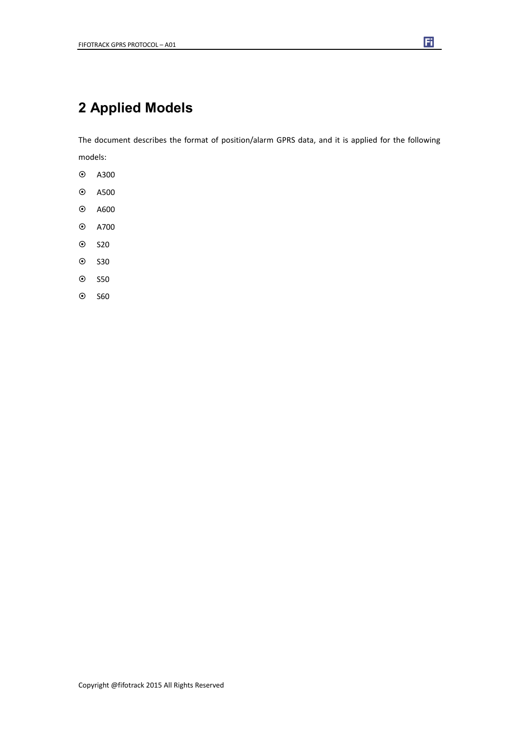### **2 Applied Models**

The document describes the format of position/alarm GPRS data, and it is applied for the following models:

- A300
- A500
- A600
- $\odot$  A700
- $\odot$  S20
- $\odot$  S30
- $\odot$  S50
- $\odot$  S60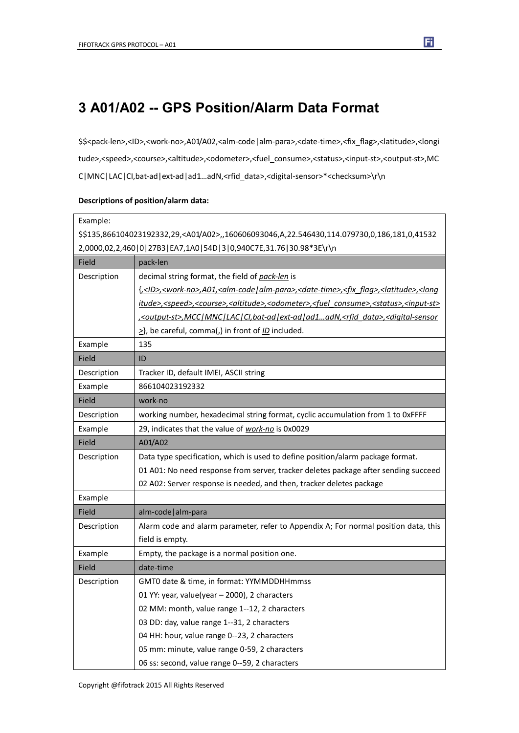### **3 A01/A02 -- GPS Position/Alarm Data Format**

\$\$<pack-len>,<ID>,<work-no>,A01/A02,<alm-code|alm-para>,<date-time>,<fix\_flag>,<latitude>,<longi tude>,<speed>,<course>,<altitude>,<odometer>,<fuel\_consume>,<status>,<input-st>,<output-st>,MC C|MNC|LAC|CI,bat-ad|ext-ad|ad1…adN,<rfid\_data>,<digital-sensor>\*<checksum>\r\n

| Example:                                                         |                                                                                                                                                                           |  |  |
|------------------------------------------------------------------|---------------------------------------------------------------------------------------------------------------------------------------------------------------------------|--|--|
|                                                                  | \$\$135,866104023192332,29, <a01 a02="">,,160606093046,A,22.546430,114.079730,0,186,181,0,41532</a01>                                                                     |  |  |
| 2,0000,02,2,460 0 27B3 EA7,1A0 54D 3 0,940C7E,31.76 30.98*3E\r\n |                                                                                                                                                                           |  |  |
| Field                                                            | pack-len                                                                                                                                                                  |  |  |
| Description                                                      | decimal string format, the field of pack-len is                                                                                                                           |  |  |
|                                                                  | <u>{<id>,<work-no>,A01,<alm-code alm-para=""  ="">,<date-time>,<fix_flaq>,<latitude>,<lonq< u=""></lonq<></latitude></fix_flaq></date-time></alm-code></work-no></id></u> |  |  |
|                                                                  | itude>, <speed>,<course>,<altitude>,<odometer>,<fuel_consume>,<status>,<input-st></input-st></status></fuel_consume></odometer></altitude></course></speed>               |  |  |
|                                                                  | <output-st>,MCC MNC LAC Cl,bat-ad ext-ad ad1adN,<rfid_data>,<digital-sensor,< td=""></digital-sensor,<></rfid_data></output-st>                                           |  |  |
|                                                                  | $\geq$ }, be careful, comma(,) in front of <i>ID</i> included.                                                                                                            |  |  |
| Example                                                          | 135                                                                                                                                                                       |  |  |
| Field                                                            | ID                                                                                                                                                                        |  |  |
| Description                                                      | Tracker ID, default IMEI, ASCII string                                                                                                                                    |  |  |
| Example                                                          | 866104023192332                                                                                                                                                           |  |  |
| Field                                                            | work-no                                                                                                                                                                   |  |  |
| Description                                                      | working number, hexadecimal string format, cyclic accumulation from 1 to 0xFFFF                                                                                           |  |  |
| Example                                                          | 29, indicates that the value of work-no is 0x0029                                                                                                                         |  |  |
| Field                                                            | A01/A02                                                                                                                                                                   |  |  |
| Description                                                      | Data type specification, which is used to define position/alarm package format.                                                                                           |  |  |
|                                                                  | 01 A01: No need response from server, tracker deletes package after sending succeed                                                                                       |  |  |
|                                                                  | 02 A02: Server response is needed, and then, tracker deletes package                                                                                                      |  |  |
| Example                                                          |                                                                                                                                                                           |  |  |
| Field                                                            | alm-code   alm-para                                                                                                                                                       |  |  |
| Description                                                      | Alarm code and alarm parameter, refer to Appendix A; For normal position data, this                                                                                       |  |  |
|                                                                  | field is empty.                                                                                                                                                           |  |  |
| Example                                                          | Empty, the package is a normal position one.                                                                                                                              |  |  |
| Field                                                            | date-time                                                                                                                                                                 |  |  |
| Description                                                      | GMT0 date & time, in format: YYMMDDHHmmss                                                                                                                                 |  |  |
|                                                                  | 01 YY: year, value(year - 2000), 2 characters                                                                                                                             |  |  |
|                                                                  | 02 MM: month, value range 1--12, 2 characters                                                                                                                             |  |  |
|                                                                  | 03 DD: day, value range 1--31, 2 characters                                                                                                                               |  |  |
|                                                                  | 04 HH: hour, value range 0--23, 2 characters                                                                                                                              |  |  |
|                                                                  | 05 mm: minute, value range 0-59, 2 characters                                                                                                                             |  |  |
|                                                                  | 06 ss: second, value range 0--59, 2 characters                                                                                                                            |  |  |

#### **Descriptions of position/alarm data:**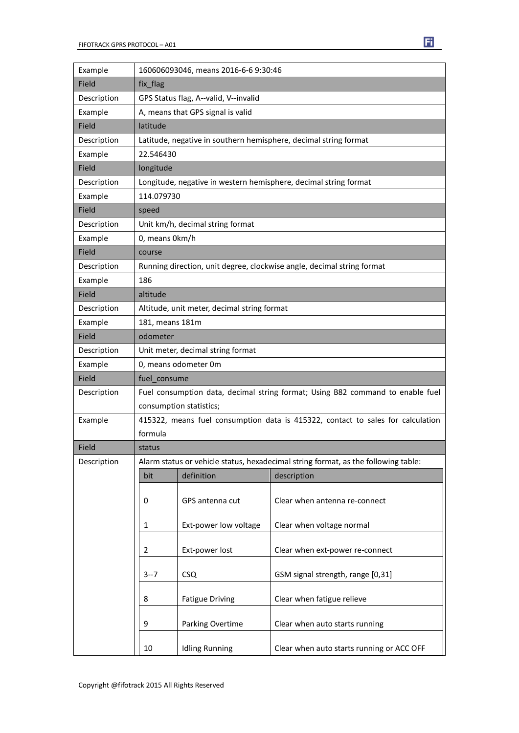| Example               | 160606093046, means 2016-6-6 9:30:46                                                                      |                                  |                                                                                    |  |  |
|-----------------------|-----------------------------------------------------------------------------------------------------------|----------------------------------|------------------------------------------------------------------------------------|--|--|
| Field                 | fix_flag                                                                                                  |                                  |                                                                                    |  |  |
| Description           | GPS Status flag, A--valid, V--invalid                                                                     |                                  |                                                                                    |  |  |
| Example               | A, means that GPS signal is valid                                                                         |                                  |                                                                                    |  |  |
| Field                 | latitude                                                                                                  |                                  |                                                                                    |  |  |
| Description           |                                                                                                           |                                  | Latitude, negative in southern hemisphere, decimal string format                   |  |  |
| Example               | 22.546430                                                                                                 |                                  |                                                                                    |  |  |
| Field                 | longitude                                                                                                 |                                  |                                                                                    |  |  |
| Description           |                                                                                                           |                                  | Longitude, negative in western hemisphere, decimal string format                   |  |  |
| Example               | 114.079730                                                                                                |                                  |                                                                                    |  |  |
| Field                 | speed                                                                                                     |                                  |                                                                                    |  |  |
| Description           |                                                                                                           | Unit km/h, decimal string format |                                                                                    |  |  |
| Example               | 0, means 0km/h                                                                                            |                                  |                                                                                    |  |  |
| Field                 | course                                                                                                    |                                  |                                                                                    |  |  |
| Description           |                                                                                                           |                                  | Running direction, unit degree, clockwise angle, decimal string format             |  |  |
| Example               | 186                                                                                                       |                                  |                                                                                    |  |  |
| Field                 | altitude                                                                                                  |                                  |                                                                                    |  |  |
| Description           | Altitude, unit meter, decimal string format                                                               |                                  |                                                                                    |  |  |
| Example               | 181, means 181m                                                                                           |                                  |                                                                                    |  |  |
| Field                 | odometer                                                                                                  |                                  |                                                                                    |  |  |
| Description           | Unit meter, decimal string format                                                                         |                                  |                                                                                    |  |  |
| Example               | 0, means odometer 0m                                                                                      |                                  |                                                                                    |  |  |
| Field                 | fuel consume                                                                                              |                                  |                                                                                    |  |  |
| Description           | Fuel consumption data, decimal string format; Using B82 command to enable fuel<br>consumption statistics; |                                  |                                                                                    |  |  |
| Example               |                                                                                                           |                                  | 415322, means fuel consumption data is 415322, contact to sales for calculation    |  |  |
|                       | formula                                                                                                   |                                  |                                                                                    |  |  |
| Field                 | status                                                                                                    |                                  |                                                                                    |  |  |
| Description           |                                                                                                           |                                  | Alarm status or vehicle status, hexadecimal string format, as the following table: |  |  |
|                       | bit                                                                                                       | definition                       | description                                                                        |  |  |
|                       | 0                                                                                                         | GPS antenna cut                  | Clear when antenna re-connect                                                      |  |  |
|                       | 1                                                                                                         | Ext-power low voltage            | Clear when voltage normal                                                          |  |  |
|                       | 2                                                                                                         | Ext-power lost                   | Clear when ext-power re-connect                                                    |  |  |
| <b>CSQ</b><br>$3 - 7$ |                                                                                                           |                                  | GSM signal strength, range [0,31]                                                  |  |  |
|                       | Clear when fatigue relieve<br><b>Fatigue Driving</b><br>8                                                 |                                  |                                                                                    |  |  |
|                       | Parking Overtime<br>Clear when auto starts running<br>9                                                   |                                  |                                                                                    |  |  |
|                       | <b>Idling Running</b><br>Clear when auto starts running or ACC OFF<br>10                                  |                                  |                                                                                    |  |  |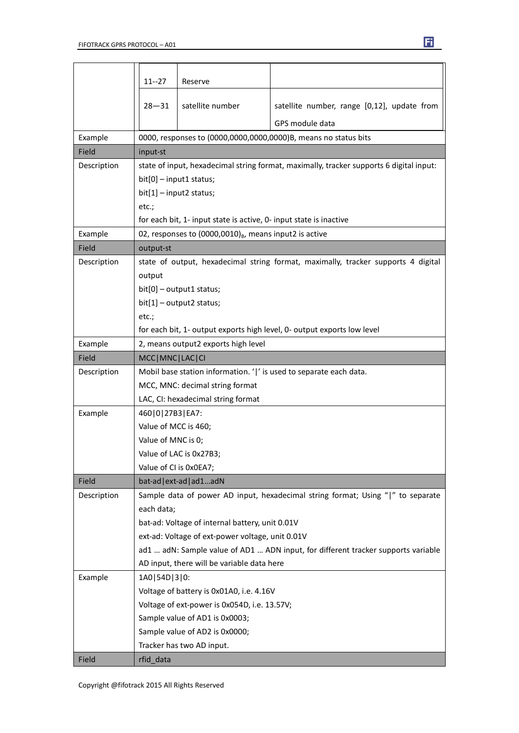|             | $11 - 27$                                                                                  | Reserve                                                                                 |                                                                                   |  |
|-------------|--------------------------------------------------------------------------------------------|-----------------------------------------------------------------------------------------|-----------------------------------------------------------------------------------|--|
|             |                                                                                            |                                                                                         |                                                                                   |  |
|             | $28 - 31$                                                                                  | satellite number                                                                        | satellite number, range [0,12], update from                                       |  |
|             |                                                                                            | GPS module data                                                                         |                                                                                   |  |
| Example     |                                                                                            | 0000, responses to (0000,0000,0000,0000)B, means no status bits                         |                                                                                   |  |
| Field       | input-st                                                                                   |                                                                                         |                                                                                   |  |
| Description |                                                                                            | state of input, hexadecimal string format, maximally, tracker supports 6 digital input: |                                                                                   |  |
|             |                                                                                            | $bit[0]$ - input1 status;                                                               |                                                                                   |  |
|             |                                                                                            | bit[1] - input2 status;                                                                 |                                                                                   |  |
|             | $etc.$ ;                                                                                   |                                                                                         |                                                                                   |  |
|             |                                                                                            | for each bit, 1- input state is active, 0- input state is inactive                      |                                                                                   |  |
| Example     |                                                                                            | 02, responses to $(0000,0010)_{B}$ , means input2 is active                             |                                                                                   |  |
| Field       | output-st                                                                                  |                                                                                         |                                                                                   |  |
| Description |                                                                                            |                                                                                         | state of output, hexadecimal string format, maximally, tracker supports 4 digital |  |
|             | output                                                                                     |                                                                                         |                                                                                   |  |
|             |                                                                                            | $bit[0]$ – output1 status;                                                              |                                                                                   |  |
|             | $bit[1]$ – output2 status;                                                                 |                                                                                         |                                                                                   |  |
|             | $etc.$ ;<br>for each bit, 1- output exports high level, 0- output exports low level        |                                                                                         |                                                                                   |  |
| Example     |                                                                                            | 2, means output2 exports high level                                                     |                                                                                   |  |
| Field       |                                                                                            |                                                                                         |                                                                                   |  |
| Description | MCC   MNC   LAC   CI<br>Mobil base station information. ' ' is used to separate each data. |                                                                                         |                                                                                   |  |
|             | MCC, MNC: decimal string format                                                            |                                                                                         |                                                                                   |  |
|             |                                                                                            | LAC, CI: hexadecimal string format                                                      |                                                                                   |  |
| Example     | 460   0   27B3   EA7:                                                                      |                                                                                         |                                                                                   |  |
|             | Value of MCC is 460;                                                                       |                                                                                         |                                                                                   |  |
|             | Value of MNC is 0;                                                                         |                                                                                         |                                                                                   |  |
|             | Value of LAC is 0x27B3;                                                                    |                                                                                         |                                                                                   |  |
|             | Value of CI is 0x0EA7;                                                                     |                                                                                         |                                                                                   |  |
| Field       | bat-ad   ext-ad   ad1adN                                                                   |                                                                                         |                                                                                   |  |
| Description |                                                                                            |                                                                                         | Sample data of power AD input, hexadecimal string format; Using " " to separate   |  |
|             | each data;                                                                                 |                                                                                         |                                                                                   |  |
|             | bat-ad: Voltage of internal battery, unit 0.01V                                            |                                                                                         |                                                                                   |  |
|             | ext-ad: Voltage of ext-power voltage, unit 0.01V                                           |                                                                                         |                                                                                   |  |
|             | ad1  adN: Sample value of AD1  ADN input, for different tracker supports variable          |                                                                                         |                                                                                   |  |
|             | AD input, there will be variable data here                                                 |                                                                                         |                                                                                   |  |
| Example     | 1A0   54D   3   0:                                                                         |                                                                                         |                                                                                   |  |
|             |                                                                                            | Voltage of battery is 0x01A0, i.e. 4.16V                                                |                                                                                   |  |
|             | Voltage of ext-power is 0x054D, i.e. 13.57V;                                               |                                                                                         |                                                                                   |  |
|             |                                                                                            | Sample value of AD1 is 0x0003;                                                          |                                                                                   |  |
|             | Sample value of AD2 is 0x0000;                                                             |                                                                                         |                                                                                   |  |
|             |                                                                                            | Tracker has two AD input.                                                               |                                                                                   |  |
| Field       | rfid_data                                                                                  |                                                                                         |                                                                                   |  |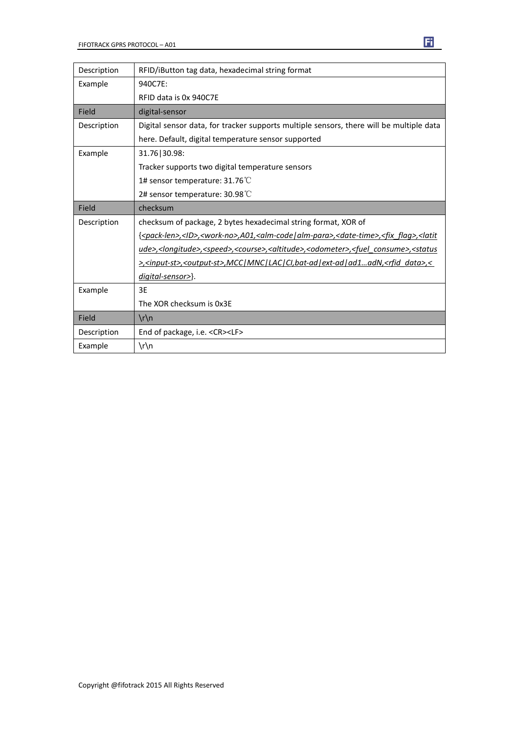| Description | RFID/iButton tag data, hexadecimal string format                                                                                                                        |
|-------------|-------------------------------------------------------------------------------------------------------------------------------------------------------------------------|
| Example     | 940C7E:                                                                                                                                                                 |
|             | RFID data is 0x 940C7E                                                                                                                                                  |
| Field       | digital-sensor                                                                                                                                                          |
| Description | Digital sensor data, for tracker supports multiple sensors, there will be multiple data                                                                                 |
|             | here. Default, digital temperature sensor supported                                                                                                                     |
| Example     | 31.76 30.98:                                                                                                                                                            |
|             | Tracker supports two digital temperature sensors                                                                                                                        |
|             | 1# sensor temperature: 31.76°C                                                                                                                                          |
|             | 2# sensor temperature: 30.98°C                                                                                                                                          |
|             |                                                                                                                                                                         |
| Field       | checksum                                                                                                                                                                |
| Description | checksum of package, 2 bytes hexadecimal string format, XOR of                                                                                                          |
|             | { <pack-len>,<ld>,<work-no>,A01,<alm-code alm-para>,<date-time>,<fix_flaq>,<latit< td=""></latit<></fix_flaq></date-time></alm-code alm-para></work-no></ld></pack-len> |
|             | ude>, <longitude>,<speed>,<course>,<altitude>,<odometer>,<fuel_consume>,<status< td=""></status<></fuel_consume></odometer></altitude></course></speed></longitude>     |
|             | >, <input-st>,<output-st>,MCC MNC LAC CI,bat-ad ext-ad ad1adN,<rfid_data>,&lt;</rfid_data></output-st></input-st>                                                       |
|             | digital-sensor>}.                                                                                                                                                       |
| Example     | 3F                                                                                                                                                                      |
|             | The XOR checksum is 0x3E                                                                                                                                                |
| Field       | $\ln$                                                                                                                                                                   |
| Description | End of package, i.e. <cr><lf></lf></cr>                                                                                                                                 |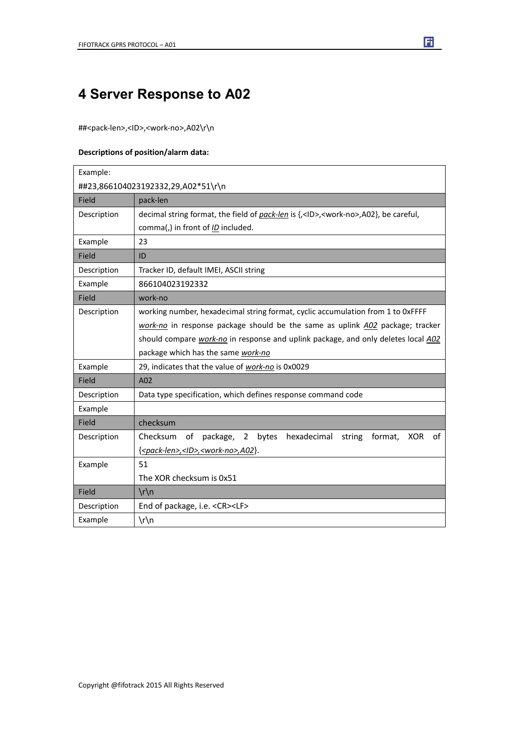### **4 Server Response to A02**

##<pack-len>,<ID>,<work-no>,A02\r\n

#### **Descriptions of position/alarm data:**

| Example:                           |                                                                                                               |  |  |
|------------------------------------|---------------------------------------------------------------------------------------------------------------|--|--|
| ##23,866104023192332,29,A02*51\r\n |                                                                                                               |  |  |
| Field                              | pack-len                                                                                                      |  |  |
| Description                        | decimal string format, the field of pack-len is {, <id>,<work-no>,A02}, be careful,</work-no></id>            |  |  |
|                                    | comma(,) in front of <i>ID</i> included.                                                                      |  |  |
| Example                            | 23                                                                                                            |  |  |
| Field                              | ID                                                                                                            |  |  |
| Description                        | Tracker ID, default IMEI, ASCII string                                                                        |  |  |
| Example                            | 866104023192332                                                                                               |  |  |
| Field                              | work-no                                                                                                       |  |  |
| Description                        | working number, hexadecimal string format, cyclic accumulation from 1 to 0xFFFF                               |  |  |
|                                    | work-no in response package should be the same as uplink AO2 package; tracker                                 |  |  |
|                                    | should compare work-no in response and uplink package, and only deletes local A02                             |  |  |
|                                    | package which has the same work-no                                                                            |  |  |
| Example                            | 29, indicates that the value of work-no is 0x0029                                                             |  |  |
| Field                              | A02                                                                                                           |  |  |
| Description                        | Data type specification, which defines response command code                                                  |  |  |
| Example                            |                                                                                                               |  |  |
| Field                              | checksum                                                                                                      |  |  |
| Description                        | Checksum<br>hexadecimal<br>string<br>format,<br><b>XOR</b><br>οf<br>οf<br>package,<br>$\overline{2}$<br>bytes |  |  |
|                                    | { <pack-len>,<ld>,<work-no>,A02}.</work-no></ld></pack-len>                                                   |  |  |
| Example                            | 51                                                                                                            |  |  |
|                                    | The XOR checksum is 0x51                                                                                      |  |  |
| Field                              | $\ln$                                                                                                         |  |  |
| Description                        | End of package, i.e. < CR> <lf></lf>                                                                          |  |  |
| Example                            | $\ln$                                                                                                         |  |  |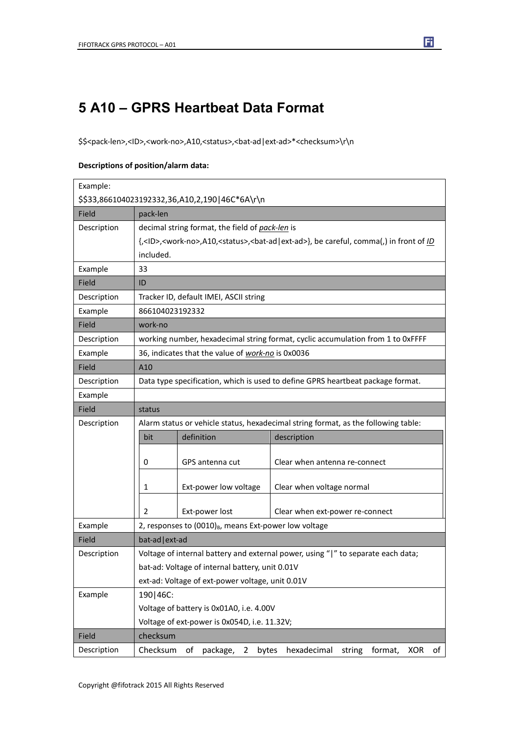### **5 A10 – GPRS Heartbeat Data Format**

\$\$<pack-len>,<ID>,<work-no>,A10,<status>,<bat-ad|ext-ad>\*<checksum>\r\n

#### **Descriptions of position/alarm data:**

| Example:                   |                                                                                                                                                     |                                                |                                                                                 |  |  |
|----------------------------|-----------------------------------------------------------------------------------------------------------------------------------------------------|------------------------------------------------|---------------------------------------------------------------------------------|--|--|
|                            |                                                                                                                                                     | \$\$33,866104023192332,36,A10,2,190 46C*6A\r\n |                                                                                 |  |  |
| Field                      | pack-len                                                                                                                                            |                                                |                                                                                 |  |  |
| Description                | decimal string format, the field of pack-len is                                                                                                     |                                                |                                                                                 |  |  |
|                            | {, <id>, <work-no>, A10, <status>, <br/>stat-ad   ext-ad&gt;}, be careful, comma(,) in front of <math>\underline{ID}</math></status></work-no></id> |                                                |                                                                                 |  |  |
|                            | included.                                                                                                                                           |                                                |                                                                                 |  |  |
| Example                    | 33                                                                                                                                                  |                                                |                                                                                 |  |  |
| Field                      | ID                                                                                                                                                  |                                                |                                                                                 |  |  |
| Description                |                                                                                                                                                     | Tracker ID, default IMEI, ASCII string         |                                                                                 |  |  |
| Example                    | 866104023192332                                                                                                                                     |                                                |                                                                                 |  |  |
| Field                      | work-no                                                                                                                                             |                                                |                                                                                 |  |  |
| Description                |                                                                                                                                                     |                                                | working number, hexadecimal string format, cyclic accumulation from 1 to 0xFFFF |  |  |
| Example                    | 36, indicates that the value of work-no is 0x0036                                                                                                   |                                                |                                                                                 |  |  |
| Field                      | A10                                                                                                                                                 |                                                |                                                                                 |  |  |
| Description                | Data type specification, which is used to define GPRS heartbeat package format.                                                                     |                                                |                                                                                 |  |  |
| Example                    |                                                                                                                                                     |                                                |                                                                                 |  |  |
| Field                      | status                                                                                                                                              |                                                |                                                                                 |  |  |
| Description                | Alarm status or vehicle status, hexadecimal string format, as the following table:                                                                  |                                                |                                                                                 |  |  |
|                            | bit                                                                                                                                                 | definition<br>description                      |                                                                                 |  |  |
|                            |                                                                                                                                                     |                                                |                                                                                 |  |  |
|                            | 0                                                                                                                                                   | GPS antenna cut                                | Clear when antenna re-connect                                                   |  |  |
| Ext-power low voltage<br>1 |                                                                                                                                                     | Clear when voltage normal                      |                                                                                 |  |  |
|                            |                                                                                                                                                     |                                                |                                                                                 |  |  |
|                            | 2                                                                                                                                                   | Ext-power lost                                 | Clear when ext-power re-connect                                                 |  |  |
| Example                    | 2, responses to (0010) <sub>B</sub> , means Ext-power low voltage                                                                                   |                                                |                                                                                 |  |  |
| Field                      | bat-ad   ext-ad                                                                                                                                     |                                                |                                                                                 |  |  |
| Description                | Voltage of internal battery and external power, using " " to separate each data;                                                                    |                                                |                                                                                 |  |  |
|                            | bat-ad: Voltage of internal battery, unit 0.01V                                                                                                     |                                                |                                                                                 |  |  |
|                            | ext-ad: Voltage of ext-power voltage, unit 0.01V                                                                                                    |                                                |                                                                                 |  |  |
| Example                    | 190   46C:                                                                                                                                          |                                                |                                                                                 |  |  |
|                            | Voltage of battery is 0x01A0, i.e. 4.00V                                                                                                            |                                                |                                                                                 |  |  |
|                            | Voltage of ext-power is 0x054D, i.e. 11.32V;                                                                                                        |                                                |                                                                                 |  |  |
| Field                      | checksum                                                                                                                                            |                                                |                                                                                 |  |  |
| Description                | Checksum                                                                                                                                            | of package,<br>bytes<br>$\mathbf{2}$           | hexadecimal<br>string<br>format,<br>of<br><b>XOR</b>                            |  |  |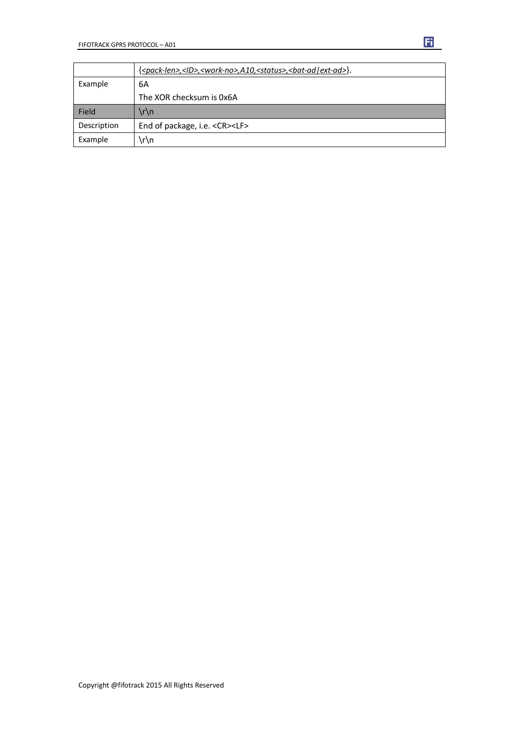|             | { <pack-len>,<ld>,<work-no>,A10,<status>,<bat-ad ext-ad=""  ="">}.</bat-ad></status></work-no></ld></pack-len> |
|-------------|----------------------------------------------------------------------------------------------------------------|
| Example     | 6A                                                                                                             |
|             | The XOR checksum is 0x6A                                                                                       |
| Field       | \r\n                                                                                                           |
| Description | End of package, i.e. <cr><lf></lf></cr>                                                                        |
| Example     | \r\n                                                                                                           |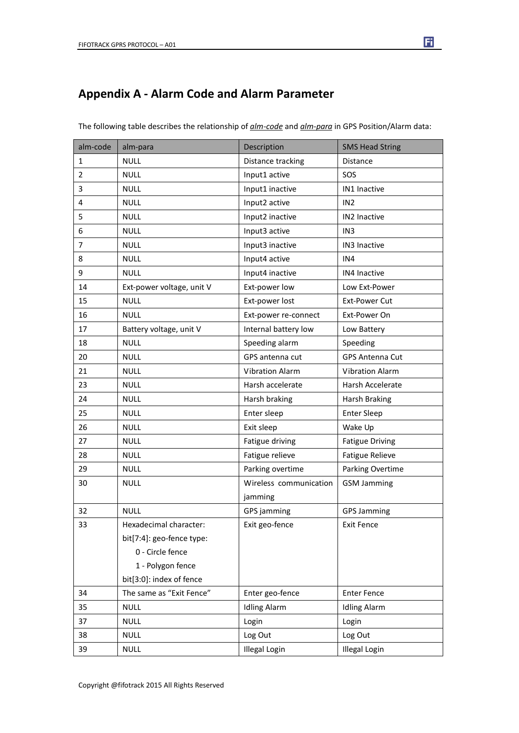#### **Appendix A - Alarm Code and Alarm Parameter**

The following table describes the relationship of *alm-code* and *alm-para* in GPS Position/Alarm data:

| alm-code       | alm-para                  | Description            | <b>SMS Head String</b> |
|----------------|---------------------------|------------------------|------------------------|
| $\mathbf{1}$   | <b>NULL</b>               | Distance tracking      | Distance               |
| $\overline{2}$ | <b>NULL</b>               | Input1 active          | SOS                    |
| 3              | <b>NULL</b>               | Input1 inactive        | IN1 Inactive           |
| 4              | <b>NULL</b>               | Input2 active          | IN <sub>2</sub>        |
| 5              | <b>NULL</b>               | Input2 inactive        | IN2 Inactive           |
| 6              | <b>NULL</b>               | Input3 active          | IN <sub>3</sub>        |
| 7              | <b>NULL</b>               | Input3 inactive        | IN3 Inactive           |
| 8              | <b>NULL</b>               | Input4 active          | IN4                    |
| 9              | <b>NULL</b>               | Input4 inactive        | IN4 Inactive           |
| 14             | Ext-power voltage, unit V | Ext-power low          | Low Ext-Power          |
| 15             | <b>NULL</b>               | Ext-power lost         | <b>Ext-Power Cut</b>   |
| 16             | <b>NULL</b>               | Ext-power re-connect   | Ext-Power On           |
| 17             | Battery voltage, unit V   | Internal battery low   | Low Battery            |
| 18             | <b>NULL</b>               | Speeding alarm         | Speeding               |
| 20             | <b>NULL</b>               | GPS antenna cut        | <b>GPS Antenna Cut</b> |
| 21             | <b>NULL</b>               | <b>Vibration Alarm</b> | Vibration Alarm        |
| 23             | <b>NULL</b>               | Harsh accelerate       | Harsh Accelerate       |
| 24             | <b>NULL</b>               | Harsh braking          | Harsh Braking          |
| 25             | <b>NULL</b>               | Enter sleep            | <b>Enter Sleep</b>     |
| 26             | <b>NULL</b>               | Exit sleep             | Wake Up                |
| 27             | <b>NULL</b>               | Fatigue driving        | <b>Fatigue Driving</b> |
| 28             | <b>NULL</b>               | Fatigue relieve        | <b>Fatigue Relieve</b> |
| 29             | <b>NULL</b>               | Parking overtime       | Parking Overtime       |
| 30             | <b>NULL</b>               | Wireless communication | <b>GSM Jamming</b>     |
|                |                           | jamming                |                        |
| 32             | <b>NULL</b>               | <b>GPS</b> jamming     | <b>GPS Jamming</b>     |
| 33             | Hexadecimal character:    | Exit geo-fence         | Exit Fence             |
|                | bit[7:4]: geo-fence type: |                        |                        |
|                | 0 - Circle fence          |                        |                        |
|                | 1 - Polygon fence         |                        |                        |
|                | bit[3:0]: index of fence  |                        |                        |
| 34             | The same as "Exit Fence"  | Enter geo-fence        | <b>Enter Fence</b>     |
| 35             | <b>NULL</b>               | <b>Idling Alarm</b>    | <b>Idling Alarm</b>    |
| 37             | <b>NULL</b>               | Login                  | Login                  |
| 38             | <b>NULL</b>               | Log Out                | Log Out                |
| 39             | <b>NULL</b>               | <b>Illegal Login</b>   | <b>Illegal Login</b>   |